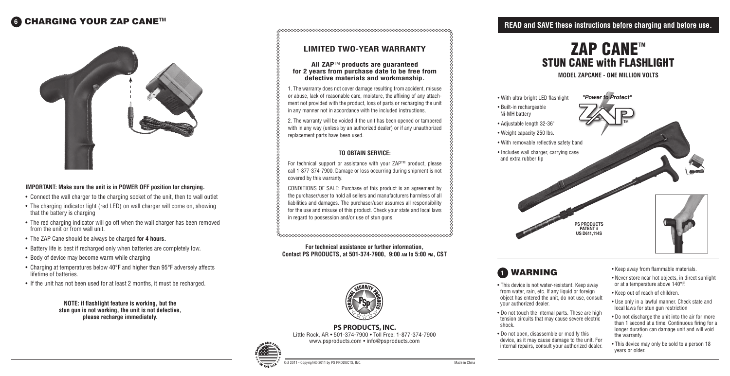## **6** CHARGING YOUR ZAP CANE™



#### **IMPORTANT: Make sure the unit is in POWER OFF position for charging.**

## **READ and SAVE these instructions before charging and before use.**

- This device is not water-resistant. Keep away from water, rain, etc. If any liquid or foreign object has entered the unit, do not use, consult your authorized dealer.
- Do not touch the internal parts. These are high tension circuits that may cause severe electric shock.
- Do not open, disassemble or modify this device, as it may cause damage to the unit. For internal repairs, consult your authorized dealer.



- Keep away from flammable materials.
- Never store near hot objects, in direct sunlight or at a temperature above 140°F.
- Keep out of reach of children.
- Use only in a lawful manner. Check state and local laws for stun gun restriction
- Do not discharge the unit into the air for more than 1 second at a time. Continuous firing for a longer duration can damage unit and will void the warranty.
- This device may only be sold to a person 18 years or older.

## **1** warning

For technical support or assistance with your ZAP™ product, please call 1-877-374-7900. Damage or loss occurring during shipment is not covered by this warranty.

**Model ZAPCANE - one MILLION Volts**

**PS PRODUCTS, INC.**  Little Rock, AR • 501-374-7900 • Toll Free: 1-877-374-7900 www.psproducts.com • info@psproducts.com



CONDITIONS OF SALE: Purchase of this product is an agreement by the purchaser/user to hold all sellers and manufacturers harmless of all liabilities and damages. The purchaser/user assumes all responsibility for the use and misuse of this product. Check your state and local laws in regard to possession and/or use of stun guns.

## **LIMITED TWO-YEAR WARRANTY**

#### **All ZAP**TM **products are guaranteed for 2 years from purchase date to be free from defective materials and workmanship.**

1. The warranty does not cover damage resulting from accident, misuse or abuse, lack of reasonable care, moisture, the affixing of any attachment not provided with the product, loss of parts or recharging the unit in any manner not in accordance with the included instructions.

2. The warranty will be voided if the unit has been opened or tampered with in any way (unless by an authorized dealer) or if any unauthorized replacement parts have been used.



#### **TO OBTAIN SERVICE:**

**For technical assistance or further information, Contact PS PRODUCTS, at 501-374-7900, 9:00 am to 5:00 pm, CST**



**NOTE: if flashlight feature is working, but the stun gun is not working, the unit is not defective, please recharge immediately.**

- Connect the wall charger to the charging socket of the unit, then to wall outlet
- The charging indicator light (red LED) on wall charger will come on, showing that the battery is charging
- The red charging indicator will go off when the wall charger has been removed from the unit or from wall unit.
- The ZAP Cane should be always be charged **for 4 hours.**
- Battery life is best if recharged only when batteries are completely low.
- Body of device may become warm while charging
- Charging at temperatures below 40°F and higher than 95°F adversely affects lifetime of batteries.
- If the unit has not been used for at least 2 months, it must be recharged.
- 
- Built-in rechargeable Ni-MH battery
- Adjustable length 32-36"
- Weight capacity 250 lbs.
- 
- and extra rubber tip